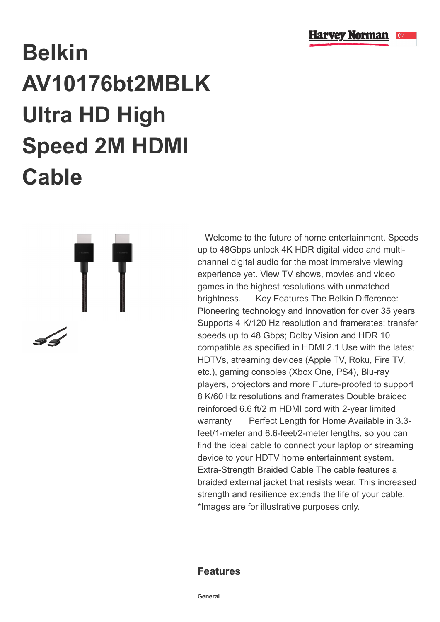

## **Belkin AV10176bt2MBLK Ultra HD High Speed 2M HDMI Cable**

 Welcome to the future of home entertainment. Speeds up to 48Gbps unlock 4K HDR digital video and multichannel digital audio for the most immersive viewing experience yet. View TV shows, movies and video games in the highest resolutions with unmatched brightness. Key Features The Belkin Difference: Pioneering technology and innovation for over 35 years Supports 4 K/120 Hz resolution and framerates; transfer speeds up to 48 Gbps; Dolby Vision and HDR 10 compatible as specified in HDMI 2.1 Use with the latest HDTVs, streaming devices (Apple TV, Roku, Fire TV, etc.), gaming consoles (Xbox One, PS4), Blu-ray players, projectors and more Future-proofed to support 8 K/60 Hz resolutions and framerates Double braided reinforced 6.6 ft/2 m HDMI cord with 2-year limited warranty Perfect Length for Home Available in 3.3feet/1-meter and 6.6-feet/2-meter lengths, so you can find the ideal cable to connect your laptop or streaming device to your HDTV home entertainment system. Extra-Strength Braided Cable The cable features a braided external jacket that resists wear. This increased strength and resilience extends the life of your cable. \*Images are for illustrative purposes only.

## **Features**